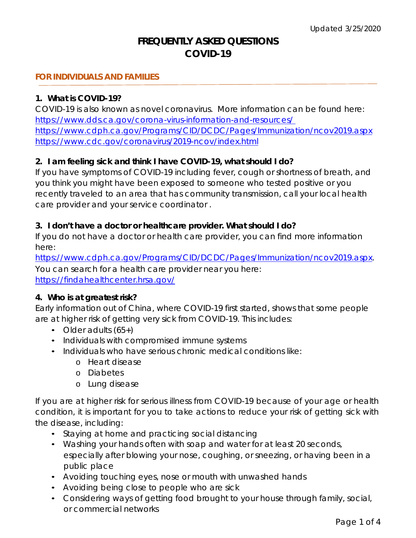# **FREQUENTLY ASKED QUESTIONS COVID-19**

# **FOR INDIVIDUALS AND FAMILIES**

# **1. What is COVID-19?**

COVID-19 is also known as novel coronavirus. More information can be found here: <https://www.dds.ca.gov/corona-virus-information-and-resources/> <https://www.cdph.ca.gov/Programs/CID/DCDC/Pages/Immunization/ncov2019.aspx> <https://www.cdc.gov/coronavirus/2019-ncov/index.html>

# **2. I am feeling sick and think I have COVID-19, what should I do?**

If you have symptoms of COVID-19 including fever, cough or shortness of breath, and you think you might have been exposed to someone who tested positive or you recently traveled to an area that has community transmission, call your local health care provider and your service coordinator .

# **3. I don't have a doctor or healthcare provider. What should I do?**

If you do not have a doctor or health care provider, you can find more information here:

[https://www.cdph.ca.gov/Programs/CID/DCDC/Pages/Immunization/ncov2019.aspx.](https://www.cdph.ca.gov/Programs/CID/DCDC/Pages/Immunization/ncov2019.aspx) You can search for a health care provider near you here: <https://findahealthcenter.hrsa.gov/>

# **4. Who is at greatest risk?**

Early information out of China, where COVID-19 first started, shows that some people are at higher risk of getting very sick from COVID-19. This includes:

- Older adults  $(65+)$
- Individuals with compromised immune systems
- Individuals who have serious chronic medical conditions like:
	- o Heart disease
	- o Diabetes
	- o Lung disease

If you are at higher risk for serious illness from COVID-19 because of your age or health condition, it is important for you to take actions to reduce your risk of getting sick with the disease, including:

- Staying at home and practicing social distancing
- Washing your hands often with soap and water for at least 20 seconds, especially after blowing your nose, coughing, or sneezing, or having been in a public place
- Avoiding touching eyes, nose or mouth with unwashed hands
- Avoiding being close to people who are sick
- Considering ways of getting food brought to your house through family, social, or commercial networks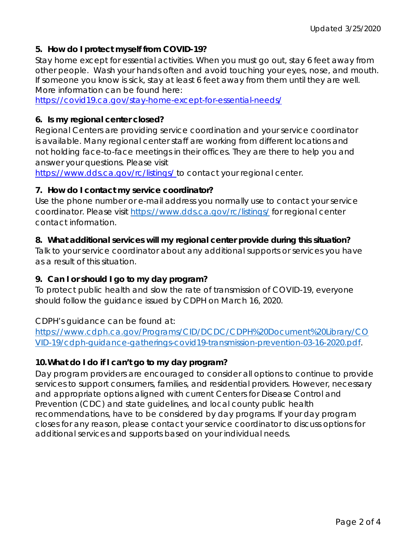# **5. How do I protect myself from COVID-19?**

Stay home except for essential activities. When you must go out, stay 6 feet away from other people. Wash your hands often and avoid touching your eyes, nose, and mouth. If someone you know is sick, stay at least 6 feet away from them until they are well. More information can be found here:

<https://covid19.ca.gov/stay-home-except-for-essential-needs/>

# **6. Is my regional center closed?**

Regional Centers are providing service coordination and your service coordinator is available. Many regional center staff are working from different locations and not holding face-to-face meetings in their offices. They are there to help you and answer your questions. Please visit

<https://www.dds.ca.gov/rc/listings/> to contact your regional center.

# **7. How do I contact my service coordinator?**

Use the phone number or e-mail address you normally use to contact your service coordinator. Please visit<https://www.dds.ca.gov/rc/listings/> for regional center contact information.

# **8. What additional services will my regional center provide during this situation?**

Talk to your service coordinator about any additional supports or services you have as a result of this situation.

# **9. Can I or should I go to my day program?**

To protect public health and slow the rate of transmission of COVID-19, everyone should follow the guidance issued by CDPH on March 16, 2020.

#### CDPH's guidance can be found at:

[https://www.cdph.ca.gov/Programs/CID/DCDC/CDPH%20Document%20Library/CO](https://www.cdph.ca.gov/Programs/CID/DCDC/CDPH%20Document%20Library/COVID-19/cdph-guidance-gatherings-covid19-transmission-prevention-03-16-2020.pdf) [VID-19/cdph-guidance-gatherings-covid19-transmission-prevention-03-16-2020.pdf.](https://www.cdph.ca.gov/Programs/CID/DCDC/CDPH%20Document%20Library/COVID-19/cdph-guidance-gatherings-covid19-transmission-prevention-03-16-2020.pdf)

# **10.What do I do if I can't go to my day program?**

Day program providers are encouraged to consider all options to continue to provide services to support consumers, families, and residential providers. However, necessary and appropriate options aligned with current Centers for Disease Control and Prevention (CDC) and state guidelines, and local county public health recommendations, have to be considered by day programs. If your day program closes for any reason, please contact your service coordinator to discuss options for additional services and supports based on your individual needs.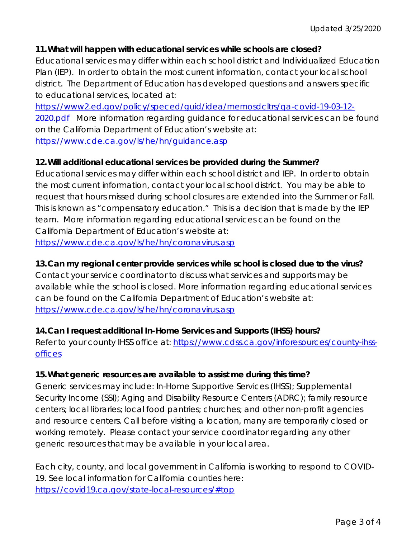# **11.What will happen with educational services while schools are closed?**

Educational services may differ within each school district and Individualized Education Plan (IEP). In order to obtain the most current information, contact your local school district. The Department of Education has developed questions and answers specific to educational services, located at:

[https://www2.ed.gov/policy/speced/guid/idea/memosdcltrs/qa-covid-19-03-12-](https://www2.ed.gov/policy/speced/guid/idea/memosdcltrs/qa-covid-19-03-12-2020.pdf) [2020.pdf](https://www2.ed.gov/policy/speced/guid/idea/memosdcltrs/qa-covid-19-03-12-2020.pdf) More information regarding guidance for educational services can be found on the California Department of Education's website at: <https://www.cde.ca.gov/ls/he/hn/guidance.asp>

# **12.Will additional educational services be provided during the Summer?**

Educational services may differ within each school district and IEP. In order to obtain the most current information, contact your local school district. You may be able to request that hours missed during school closures are extended into the Summer or Fall. This is known as "compensatory education." This is a decision that is made by the IEP team. More information regarding educational services can be found on the California Department of Education's website at:

<https://www.cde.ca.gov/ls/he/hn/coronavirus.asp>

# **13.Can my regional center provide services while school is closed due to the virus?**

Contact your service coordinator to discuss what services and supports may be available while the school is closed. More information regarding educational services can be found on the California Department of Education's website at: <https://www.cde.ca.gov/ls/he/hn/coronavirus.asp>

# **14.Can I request additional In-Home Services and Supports (IHSS) hours?**

Refer to your county IHSS office at: [https://www.cdss.ca.gov/inforesources/county-ihss](https://www.cdss.ca.gov/inforesources/county-ihss-offices)[offices](https://www.cdss.ca.gov/inforesources/county-ihss-offices)

# **15.What generic resources are available to assist me during this time?**

Generic services may include: In-Home Supportive Services (IHSS); Supplemental Security Income (SSI); Aging and Disability Resource Centers (ADRC); family resource centers; local libraries; local food pantries; churches; and other non-profit agencies and resource centers. Call before visiting a location, many are temporarily closed or working remotely. Please contact your service coordinator regarding any other generic resources that may be available in your local area.

Each city, county, and local government in California is working to respond to COVID-19. See local information for California counties here: <https://covid19.ca.gov/state-local-resources/#top>